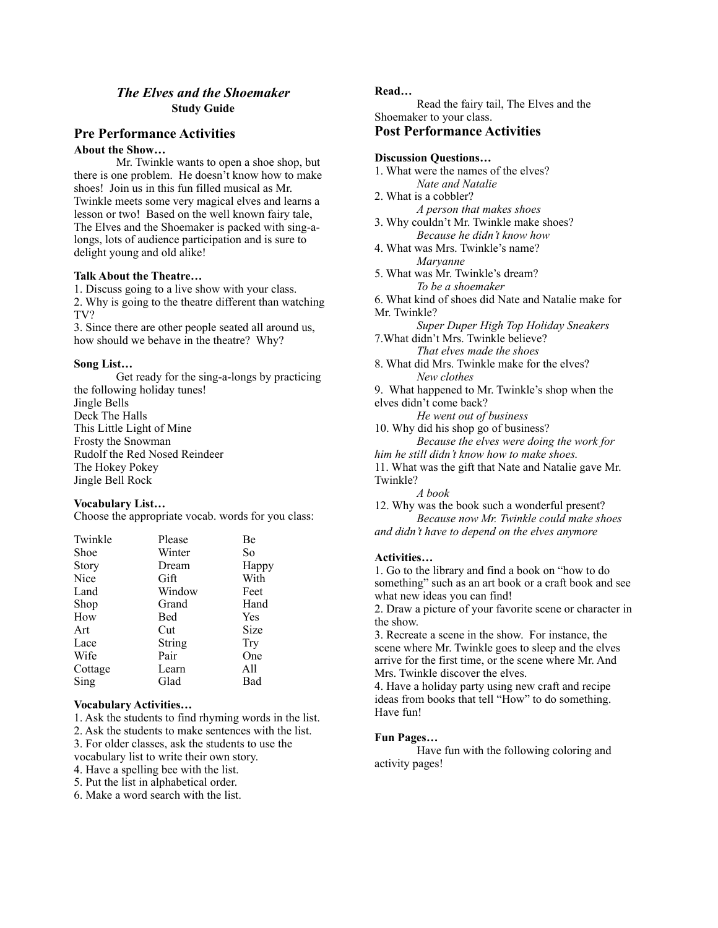# *The Elves and the Shoemaker* **Study Guide**

# **Pre Performance Activities**

## **About the Show…**

 Mr. Twinkle wants to open a shoe shop, but there is one problem. He doesn't know how to make shoes! Join us in this fun filled musical as Mr. Twinkle meets some very magical elves and learns a lesson or two! Based on the well known fairy tale, The Elves and the Shoemaker is packed with sing-alongs, lots of audience participation and is sure to delight young and old alike!

### **Talk About the Theatre…**

1. Discuss going to a live show with your class. 2. Why is going to the theatre different than watching TV?

3. Since there are other people seated all around us, how should we behave in the theatre? Why?

#### **Song List…**

 Get ready for the sing-a-longs by practicing the following holiday tunes! Jingle Bells Deck The Halls This Little Light of Mine Frosty the Snowman Rudolf the Red Nosed Reindeer The Hokey Pokey Jingle Bell Rock

# **Vocabulary List…**

Choose the appropriate vocab. words for you class:

| Twinkle      | Please | Be    |
|--------------|--------|-------|
| Shoe         | Winter | So    |
| <b>Story</b> | Dream  | Happy |
| Nice         | Gift   | With  |
| Land         | Window | Feet  |
| Shop         | Grand  | Hand  |
| How          | Bed    | Yes   |
| Art          | Cut    | Size  |
| Lace         | String | Try   |
| Wife         | Pair   | One   |
| Cottage      | Learn  | A11   |
| Sing         | Glad   | Bad   |

### **Vocabulary Activities…**

- 1. Ask the students to find rhyming words in the list.
- 2. Ask the students to make sentences with the list.
- 3. For older classes, ask the students to use the

vocabulary list to write their own story.

- 4. Have a spelling bee with the list.
- 5. Put the list in alphabetical order.
- 6. Make a word search with the list.

## **Read…**

Read the fairy tail, The Elves and the Shoemaker to your class.

# **Post Performance Activities**

#### **Discussion Questions…**

- 1. What were the names of the elves? *Nate and Natalie*
- 2. What is a cobbler? *A person that makes shoes*
- 3. Why couldn't Mr. Twinkle make shoes? *Because he didn't know how*
- 4. What was Mrs. Twinkle's name? *Maryanne*
- 5. What was Mr. Twinkle's dream? *To be a shoemaker*
- 6. What kind of shoes did Nate and Natalie make for Mr. Twinkle?
- *Super Duper High Top Holiday Sneakers* 7.What didn't Mrs. Twinkle believe?

*That elves made the shoes*

8. What did Mrs. Twinkle make for the elves? *New clothes*

9. What happened to Mr. Twinkle's shop when the elves didn't come back?

*He went out of business*

10. Why did his shop go of business? *Because the elves were doing the work for* 

*him he still didn't know how to make shoes.*

11. What was the gift that Nate and Natalie gave Mr. Twinkle?

*A book*

12. Why was the book such a wonderful present? *Because now Mr. Twinkle could make shoes and didn't have to depend on the elves anymore*

#### **Activities…**

1. Go to the library and find a book on "how to do something" such as an art book or a craft book and see what new ideas you can find!

2. Draw a picture of your favorite scene or character in the show.

3. Recreate a scene in the show. For instance, the scene where Mr. Twinkle goes to sleep and the elves arrive for the first time, or the scene where Mr. And Mrs. Twinkle discover the elves.

4. Have a holiday party using new craft and recipe ideas from books that tell "How" to do something. Have fun!

### **Fun Pages…**

 Have fun with the following coloring and activity pages!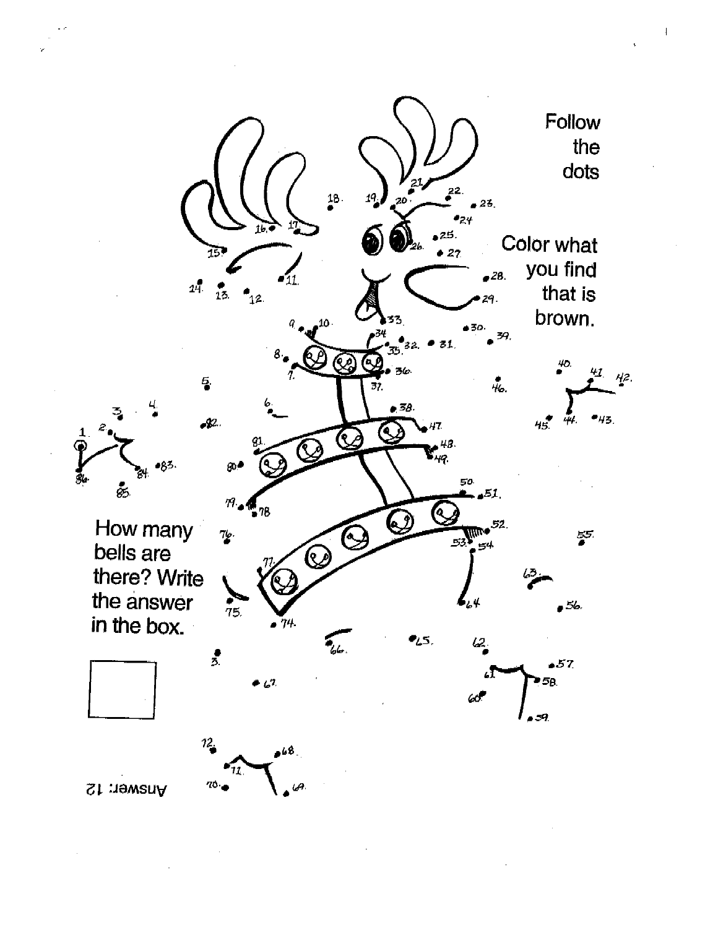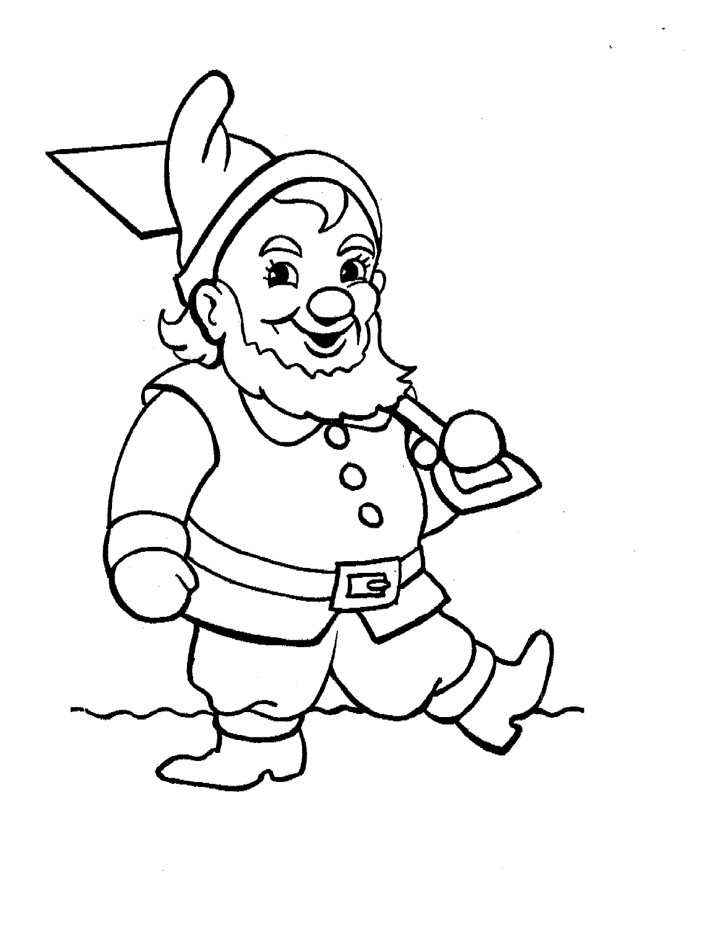